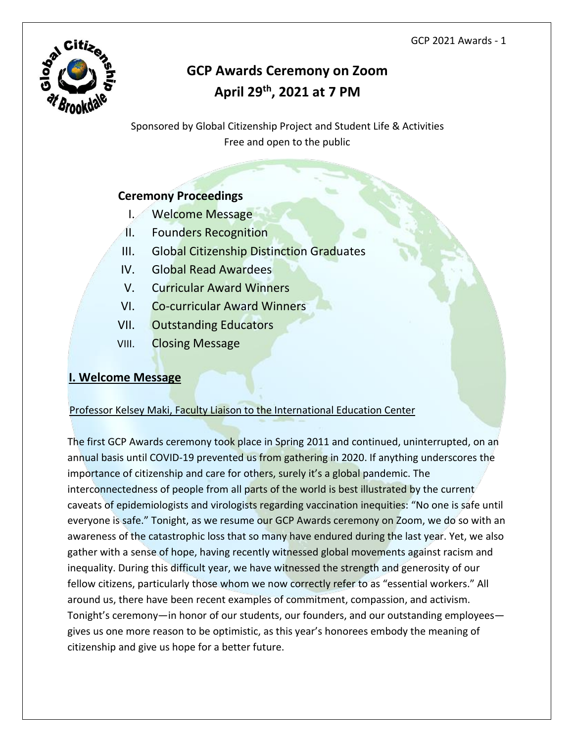

# **GCP Awards Ceremony on Zoom April 29th, 2021 at 7 PM**

Sponsored by Global Citizenship Project and Student Life & Activities Free and open to the public

# **Ceremony Proceedings**

- I. Welcome Message
- II. Founders Recognition
- III. Global Citizenship Distinction Graduates
- IV. Global Read Awardees
- V. Curricular Award Winners
- VI. Co-curricular Award Winners
- VII. Outstanding Educators
- VIII. Closing Message

# **I. Welcome Message**

# Professor Kelsey Maki, Faculty Liaison to the International Education Center

The first GCP Awards ceremony took place in Spring 2011 and continued, uninterrupted, on an annual basis until COVID-19 prevented us from gathering in 2020. If anything underscores the importance of citizenship and care for others, surely it's a global pandemic. The interconnectedness of people from all parts of the world is best illustrated by the current caveats of epidemiologists and virologists regarding vaccination inequities: "No one is safe until everyone is safe." Tonight, as we resume our GCP Awards ceremony on Zoom, we do so with an awareness of the catastrophic loss that so many have endured during the last year. Yet, we also gather with a sense of hope, having recently witnessed global movements against racism and inequality. During this difficult year, we have witnessed the strength and generosity of our fellow citizens, particularly those whom we now correctly refer to as "essential workers." All around us, there have been recent examples of commitment, compassion, and activism. Tonight's ceremony—in honor of our students, our founders, and our outstanding employees gives us one more reason to be optimistic, as this year's honorees embody the meaning of citizenship and give us hope for a better future.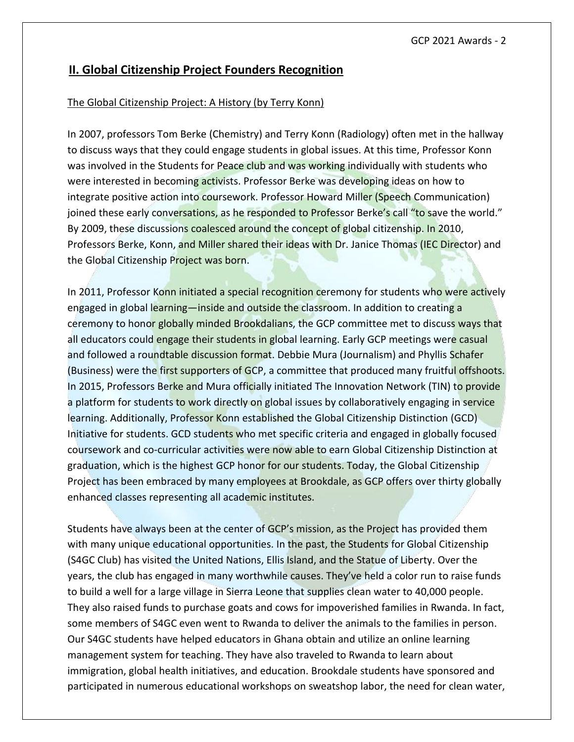# **II. Global Citizenship Project Founders Recognition**

#### The Global Citizenship Project: A History (by Terry Konn)

In 2007, professors Tom Berke (Chemistry) and Terry Konn (Radiology) often met in the hallway to discuss ways that they could engage students in global issues. At this time, Professor Konn was involved in the Students for Peace club and was working individually with students who were interested in becoming activists. Professor Berke was developing ideas on how to integrate positive action into coursework. Professor Howard Miller (Speech Communication) joined these early conversations, as he responded to Professor Berke's call "to save the world." By 2009, these discussions coalesced around the concept of global citizenship. In 2010, Professors Berke, Konn, and Miller shared their ideas with Dr. Janice Thomas (IEC Director) and the Global Citizenship Project was born.

In 2011, Professor Konn initiated a special recognition ceremony for students who were actively engaged in global learning—inside and outside the classroom. In addition to creating a ceremony to honor globally minded Brookdalians, the GCP committee met to discuss ways that all educators could engage their students in global learning. Early GCP meetings were casual and followed a roundtable discussion format. Debbie Mura (Journalism) and Phyllis Schafer (Business) were the first supporters of GCP, a committee that produced many fruitful offshoots. In 2015, Professors Berke and Mura officially initiated The Innovation Network (TIN) to provide a platform for students to work directly on global issues by collaboratively engaging in service learning. Additionally, Professor Konn established the Global Citizenship Distinction (GCD) Initiative for students. GCD students who met specific criteria and engaged in globally focused coursework and co-curricular activities were now able to earn Global Citizenship Distinction at graduation, which is the highest GCP honor for our students. Today, the Global Citizenship Project has been embraced by many employees at Brookdale, as GCP offers over thirty globally enhanced classes representing all academic institutes.

Students have always been at the center of GCP's mission, as the Project has provided them with many unique educational opportunities. In the past, the Students for Global Citizenship (S4GC Club) has visited the United Nations, Ellis Island, and the Statue of Liberty. Over the years, the club has engaged in many worthwhile causes. They've held a color run to raise funds to build a well for a large village in Sierra Leone that supplies clean water to 40,000 people. They also raised funds to purchase goats and cows for impoverished families in Rwanda. In fact, some members of S4GC even went to Rwanda to deliver the animals to the families in person. Our S4GC students have helped educators in Ghana obtain and utilize an online learning management system for teaching. They have also traveled to Rwanda to learn about immigration, global health initiatives, and education. Brookdale students have sponsored and participated in numerous educational workshops on sweatshop labor, the need for clean water,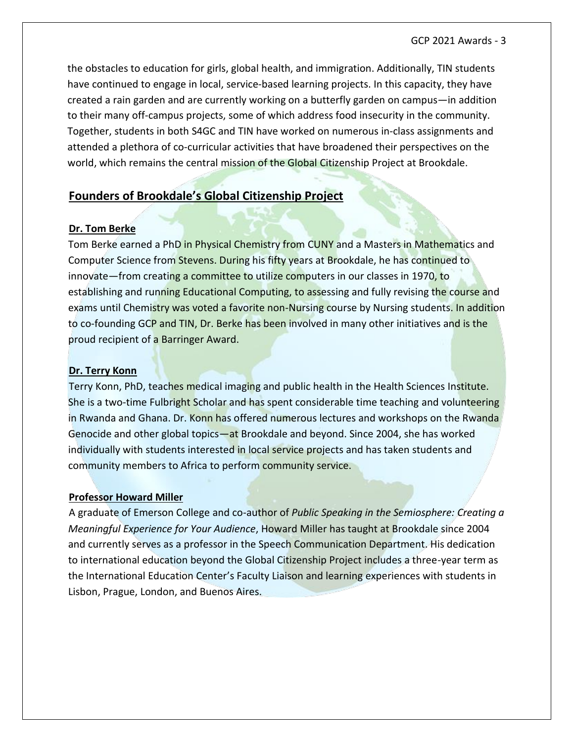the obstacles to education for girls, global health, and immigration. Additionally, TIN students have continued to engage in local, service-based learning projects. In this capacity, they have created a rain garden and are currently working on a butterfly garden on campus—in addition to their many off-campus projects, some of which address food insecurity in the community. Together, students in both S4GC and TIN have worked on numerous in-class assignments and attended a plethora of co-curricular activities that have broadened their perspectives on the world, which remains the central mission of the Global Citizenship Project at Brookdale.

# **Founders of Brookdale's Global Citizenship Project**

#### **Dr. Tom Berke**

Tom Berke earned a PhD in Physical Chemistry from CUNY and a Masters in Mathematics and Computer Science from Stevens. During his fifty years at Brookdale, he has continued to innovate—from creating a committee to utilize computers in our classes in 1970, to establishing and running Educational Computing, to assessing and fully revising the course and exams until Chemistry was voted a favorite non-Nursing course by Nursing students. In addition to co-founding GCP and TIN, Dr. Berke has been involved in many other initiatives and is the proud recipient of a Barringer Award.

#### **Dr. Terry Konn**

Terry Konn, PhD, teaches medical imaging and public health in the Health Sciences Institute. She is a two-time Fulbright Scholar and has spent considerable time teaching and volunteering in Rwanda and Ghana. Dr. Konn has offered numerous lectures and workshops on the Rwanda Genocide and other global topics—at Brookdale and beyond. Since 2004, she has worked individually with students interested in local service projects and has taken students and community members to Africa to perform community service.

#### **Professor Howard Miller**

A graduate of Emerson College and co-author of *Public Speaking in the Semiosphere: Creating a Meaningful Experience for Your Audience*, Howard Miller has taught at Brookdale since 2004 and currently serves as a professor in the Speech Communication Department. His dedication to international education beyond the Global Citizenship Project includes a three-year term as the International Education Center's Faculty Liaison and learning experiences with students in Lisbon, Prague, London, and Buenos Aires.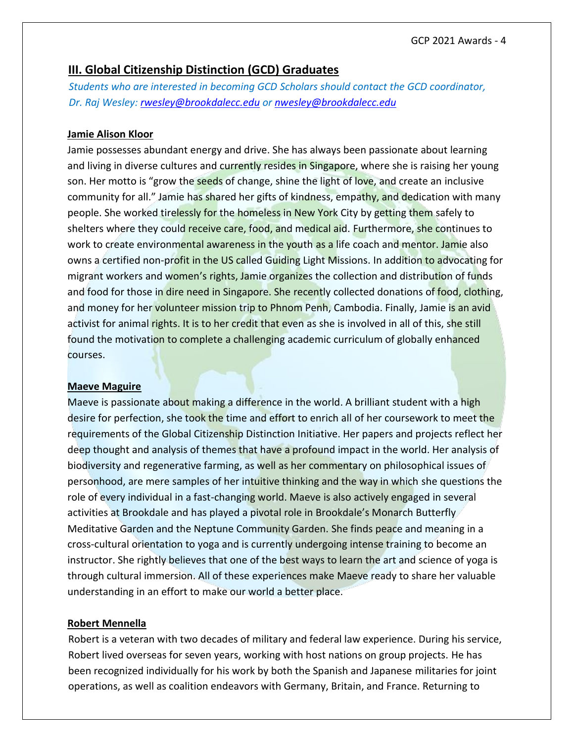# **III. Global Citizenship Distinction (GCD) Graduates**

*Students who are interested in becoming GCD Scholars should contact the GCD coordinator, Dr. Raj Wesley: [rwesley@brookdalecc.edu](mailto:rwesley@brookdalecc.edu) or [nwesley@brookdalecc.edu](mailto:nwesley@brookdalecc.edu)*

### **Jamie Alison Kloor**

Jamie possesses abundant energy and drive. She has always been passionate about learning and living in diverse cultures and currently resides in Singapore, where she is raising her young son. Her motto is "grow the seeds of change, shine the light of love, and create an inclusive community for all." Jamie has shared her gifts of kindness, empathy, and dedication with many people. She worked tirelessly for the homeless in New York City by getting them safely to shelters where they could receive care, food, and medical aid. Furthermore, she continues to work to create environmental awareness in the youth as a life coach and mentor. Jamie also owns a certified non-profit in the US called Guiding Light Missions. In addition to advocating for migrant workers and women's rights, Jamie organizes the collection and distribution of funds and food for those in dire need in Singapore. She recently collected donations of food, clothing, and money for her volunteer mission trip to Phnom Penh, Cambodia. Finally, Jamie is an avid activist for animal rights. It is to her credit that even as she is involved in all of this, she still found the motivation to complete a challenging academic curriculum of globally enhanced courses.

#### **Maeve Maguire**

Maeve is passionate about making a difference in the world. A brilliant student with a high desire for perfection, she took the time and effort to enrich all of her coursework to meet the requirements of the Global Citizenship Distinction Initiative. Her papers and projects reflect her deep thought and analysis of themes that have a profound impact in the world. Her analysis of biodiversity and regenerative farming, as well as her commentary on philosophical issues of personhood, are mere samples of her intuitive thinking and the way in which she questions the role of every individual in a fast-changing world. Maeve is also actively engaged in several activities at Brookdale and has played a pivotal role in Brookdale's Monarch Butterfly Meditative Garden and the Neptune Community Garden. She finds peace and meaning in a cross-cultural orientation to yoga and is currently undergoing intense training to become an instructor. She rightly believes that one of the best ways to learn the art and science of yoga is through cultural immersion. All of these experiences make Maeve ready to share her valuable understanding in an effort to make our world a better place.

#### **Robert Mennella**

Robert is a veteran with two decades of military and federal law experience. During his service, Robert lived overseas for seven years, working with host nations on group projects. He has been recognized individually for his work by both the Spanish and Japanese militaries for joint operations, as well as coalition endeavors with Germany, Britain, and France. Returning to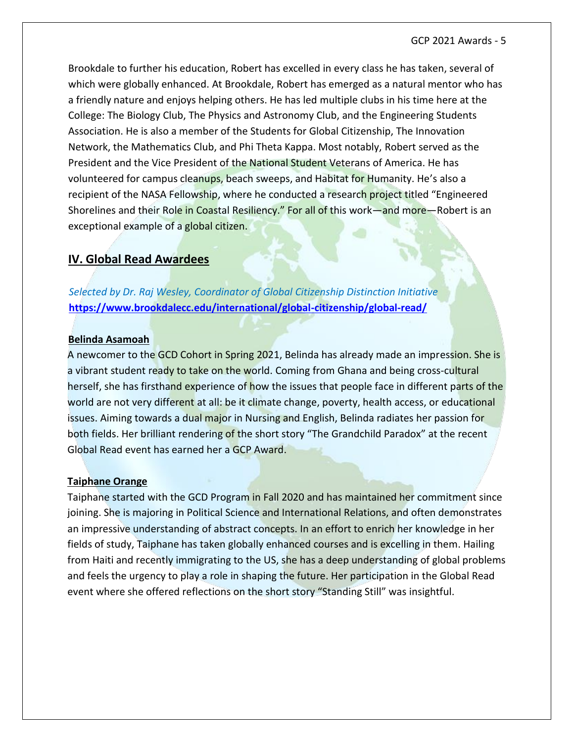Brookdale to further his education, Robert has excelled in every class he has taken, several of which were globally enhanced. At Brookdale, Robert has emerged as a natural mentor who has a friendly nature and enjoys helping others. He has led multiple clubs in his time here at the College: The Biology Club, The Physics and Astronomy Club, and the Engineering Students Association. He is also a member of the Students for Global Citizenship, The Innovation Network, the Mathematics Club, and Phi Theta Kappa. Most notably, Robert served as the President and the Vice President of the National Student Veterans of America. He has volunteered for campus cleanups, beach sweeps, and Habitat for Humanity. He's also a recipient of the NASA Fellowship, where he conducted a research project titled "Engineered Shorelines and their Role in Coastal Resiliency." For all of this work—and more—Robert is an exceptional example of a global citizen.

# **IV. Global Read Awardees**

*Selected by Dr. Raj Wesley, Coordinator of Global Citizenship Distinction Initiative* **<https://www.brookdalecc.edu/international/global-citizenship/global-read/>**

#### **Belinda Asamoah**

A newcomer to the GCD Cohort in Spring 2021, Belinda has already made an impression. She is a vibrant student ready to take on the world. Coming from Ghana and being cross-cultural herself, she has firsthand experience of how the issues that people face in different parts of the world are not very different at all: be it climate change, poverty, health access, or educational issues. Aiming towards a dual major in Nursing and English, Belinda radiates her passion for both fields. Her brilliant rendering of the short story "The Grandchild Paradox" at the recent Global Read event has earned her a GCP Award.

#### **Taiphane Orange**

Taiphane started with the GCD Program in Fall 2020 and has maintained her commitment since joining. She is majoring in Political Science and International Relations, and often demonstrates an impressive understanding of abstract concepts. In an effort to enrich her knowledge in her fields of study, Taiphane has taken globally enhanced courses and is excelling in them. Hailing from Haiti and recently immigrating to the US, she has a deep understanding of global problems and feels the urgency to play a role in shaping the future. Her participation in the Global Read event where she offered reflections on the short story "Standing Still" was insightful.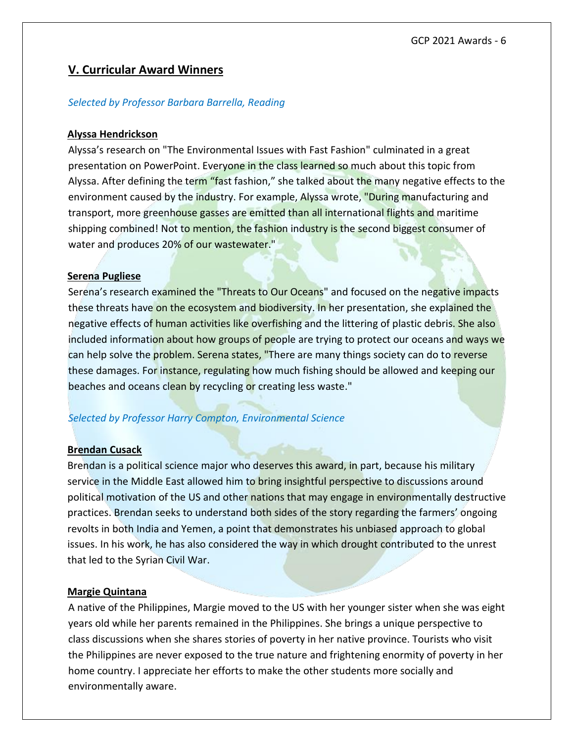# **V. Curricular Award Winners**

#### *Selected by Professor Barbara Barrella, Reading*

#### **Alyssa Hendrickson**

Alyssa's research on "The Environmental Issues with Fast Fashion" culminated in a great presentation on PowerPoint. Everyone in the class learned so much about this topic from Alyssa. After defining the term "fast fashion," she talked about the many negative effects to the environment caused by the industry. For example, Alyssa wrote, "During manufacturing and transport, more greenhouse gasses are emitted than all international flights and maritime shipping combined! Not to mention, the fashion industry is the second biggest consumer of water and produces 20% of our wastewater."

#### **Serena Pugliese**

Serena's research examined the "Threats to Our Oceans" and focused on the negative impacts these threats have on the ecosystem and biodiversity. In her presentation, she explained the negative effects of human activities like overfishing and the littering of plastic debris. She also included information about how groups of people are trying to protect our oceans and ways we can help solve the problem. Serena states, "There are many things society can do to reverse these damages. For instance, regulating how much fishing should be allowed and keeping our beaches and oceans clean by recycling or creating less waste."

#### *Selected by Professor Harry Compton, Environmental Science*

#### **Brendan Cusack**

Brendan is a political science major who deserves this award, in part, because his military service in the Middle East allowed him to bring insightful perspective to discussions around political motivation of the US and other nations that may engage in environmentally destructive practices. Brendan seeks to understand both sides of the story regarding the farmers' ongoing revolts in both India and Yemen, a point that demonstrates his unbiased approach to global issues. In his work, he has also considered the way in which drought contributed to the unrest that led to the Syrian Civil War.

#### **Margie Quintana**

A native of the Philippines, Margie moved to the US with her younger sister when she was eight years old while her parents remained in the Philippines. She brings a unique perspective to class discussions when she shares stories of poverty in her native province. Tourists who visit the Philippines are never exposed to the true nature and frightening enormity of poverty in her home country. I appreciate her efforts to make the other students more socially and environmentally aware.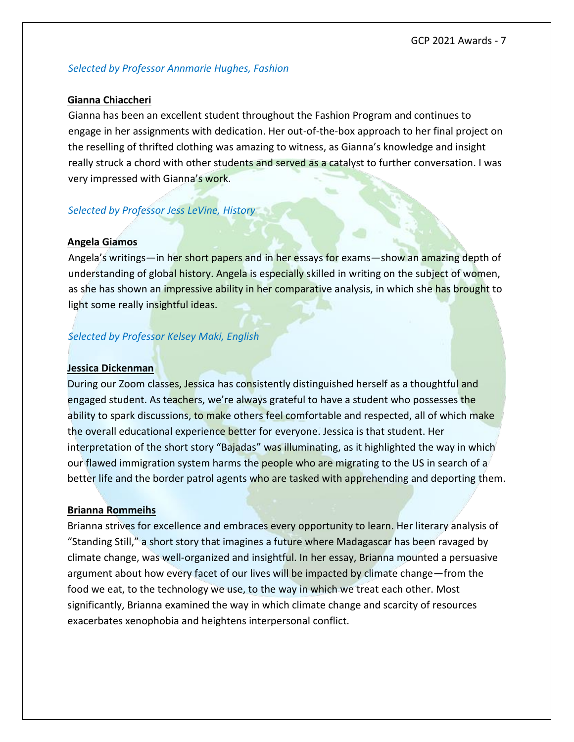#### *Selected by Professor Annmarie Hughes, Fashion*

#### **Gianna Chiaccheri**

Gianna has been an excellent student throughout the Fashion Program and continues to engage in her assignments with dedication. Her out-of-the-box approach to her final project on the reselling of thrifted clothing was amazing to witness, as Gianna's knowledge and insight really struck a chord with other students and served as a catalyst to further conversation. I was very impressed with Gianna's work.

#### *Selected by Professor Jess LeVine, History*

#### **Angela Giamos**

Angela's writings—in her short papers and in her essays for exams—show an amazing depth of understanding of global history. Angela is especially skilled in writing on the subject of women, as she has shown an impressive ability in her comparative analysis, in which she has brought to light some really insightful ideas.

### *Selected by Professor Kelsey Maki, English*

#### **Jessica Dickenman**

During our Zoom classes, Jessica has consistently distinguished herself as a thoughtful and engaged student. As teachers, we're always grateful to have a student who possesses the ability to spark discussions, to make others feel comfortable and respected, all of which make the overall educational experience better for everyone. Jessica is that student. Her interpretation of the short story "Bajadas" was illuminating, as it highlighted the way in which our flawed immigration system harms the people who are migrating to the US in search of a better life and the border patrol agents who are tasked with apprehending and deporting them.

#### **Brianna Rommeihs**

Brianna strives for excellence and embraces every opportunity to learn. Her literary analysis of "Standing Still," a short story that imagines a future where Madagascar has been ravaged by climate change, was well-organized and insightful. In her essay, Brianna mounted a persuasive argument about how every facet of our lives will be impacted by climate change—from the food we eat, to the technology we use, to the way in which we treat each other. Most significantly, Brianna examined the way in which climate change and scarcity of resources exacerbates xenophobia and heightens interpersonal conflict.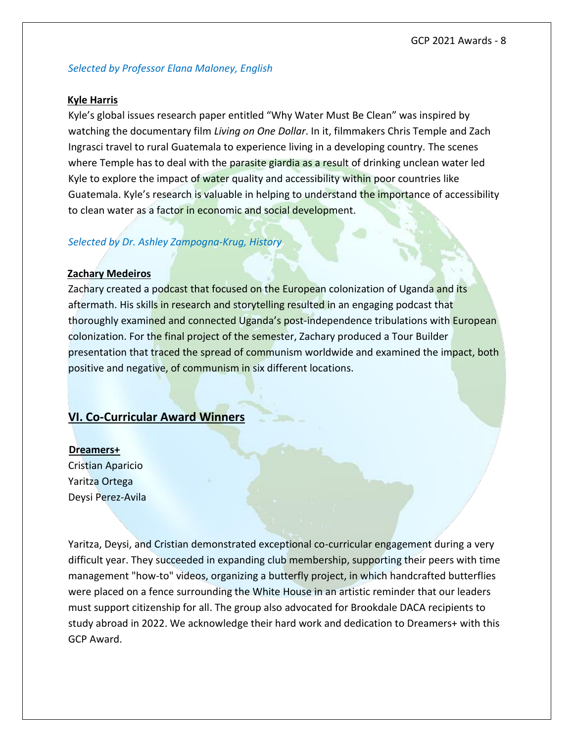#### *Selected by Professor Elana Maloney, English*

#### **Kyle Harris**

Kyle's global issues research paper entitled "Why Water Must Be Clean" was inspired by watching the documentary film *Living on One Dollar*. In it, filmmakers Chris Temple and Zach Ingrasci travel to rural Guatemala to experience living in a developing country. The scenes where Temple has to deal with the parasite giardia as a result of drinking unclean water led Kyle to explore the impact of water quality and accessibility within poor countries like Guatemala. Kyle's research is valuable in helping to understand the importance of accessibility to clean water as a factor in economic and social development.

#### *Selected by Dr. Ashley Zampogna-Krug, History*

#### **Zachary Medeiros**

Zachary created a podcast that focused on the European colonization of Uganda and its aftermath. His skills in research and storytelling resulted in an engaging podcast that thoroughly examined and connected Uganda's post-independence tribulations with European colonization. For the final project of the semester, Zachary produced a Tour Builder presentation that traced the spread of communism worldwide and examined the impact, both positive and negative, of communism in six different locations.

## **VI. Co-Curricular Award Winners**

**Dreamers+**  Cristian Aparicio Yaritza Ortega Deysi Perez-Avila

Yaritza, Deysi, and Cristian demonstrated exceptional co-curricular engagement during a very difficult year. They succeeded in expanding club membership, supporting their peers with time management "how-to" videos, organizing a butterfly project, in which handcrafted butterflies were placed on a fence surrounding the White House in an artistic reminder that our leaders must support citizenship for all. The group also advocated for Brookdale DACA recipients to study abroad in 2022. We acknowledge their hard work and dedication to Dreamers+ with this GCP Award.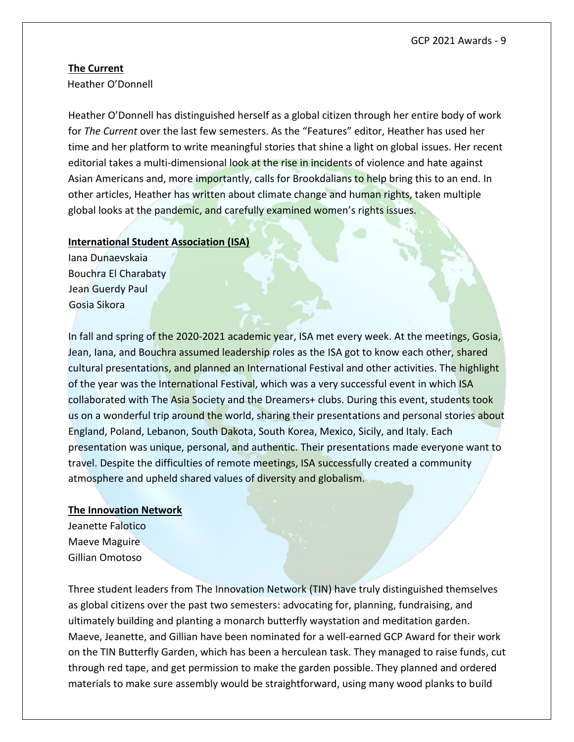#### **The Current**

Heather O'Donnell

Heather O'Donnell has distinguished herself as a global citizen through her entire body of work for *The Current* over the last few semesters. As the "Features" editor, Heather has used her time and her platform to write meaningful stories that shine a light on global issues. Her recent editorial takes a multi-dimensional look at the rise in incidents of violence and hate against Asian Americans and, more importantly, calls for Brookdalians to help bring this to an end. In other articles, Heather has written about climate change and human rights, taken multiple global looks at the pandemic, and carefully examined women's rights issues.

#### **International Student Association (ISA)**

Iana Dunaevskaia Bouchra El Charabaty Jean Guerdy Paul Gosia Sikora

In fall and spring of the 2020-2021 academic year, ISA met every week. At the meetings, Gosia, Jean, Iana, and Bouchra assumed leadership roles as the ISA got to know each other, shared cultural presentations, and planned an International Festival and other activities. The highlight of the year was the International Festival, which was a very successful event in which ISA collaborated with The Asia Society and the Dreamers+ clubs. During this event, students took us on a wonderful trip around the world, sharing their presentations and personal stories about England, Poland, Lebanon, South Dakota, South Korea, Mexico, Sicily, and Italy. Each presentation was unique, personal, and authentic. Their presentations made everyone want to travel. Despite the difficulties of remote meetings, ISA successfully created a community atmosphere and upheld shared values of diversity and globalism.

#### **The Innovation Network**

Jeanette Falotico Maeve Maguire Gillian Omotoso

Three student leaders from The Innovation Network (TIN) have truly distinguished themselves as global citizens over the past two semesters: advocating for, planning, fundraising, and ultimately building and planting a monarch butterfly waystation and meditation garden. Maeve, Jeanette, and Gillian have been nominated for a well-earned GCP Award for their work on the TIN Butterfly Garden, which has been a herculean task. They managed to raise funds, cut through red tape, and get permission to make the garden possible. They planned and ordered materials to make sure assembly would be straightforward, using many wood planks to build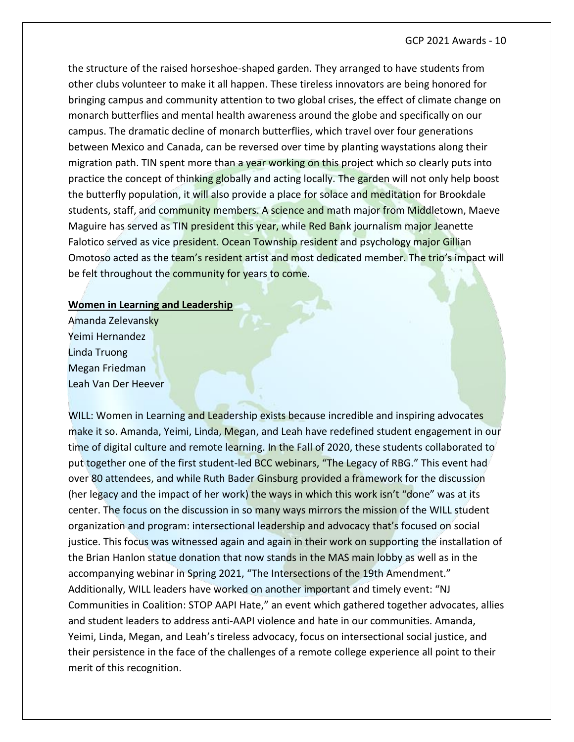the structure of the raised horseshoe-shaped garden. They arranged to have students from other clubs volunteer to make it all happen. These tireless innovators are being honored for bringing campus and community attention to two global crises, the effect of climate change on monarch butterflies and mental health awareness around the globe and specifically on our campus. The dramatic decline of monarch butterflies, which travel over four generations between Mexico and Canada, can be reversed over time by planting waystations along their migration path. TIN spent more than a year working on this project which so clearly puts into practice the concept of thinking globally and acting locally. The garden will not only help boost the butterfly population, it will also provide a place for solace and meditation for Brookdale students, staff, and community members. A science and math major from Middletown, Maeve Maguire has served as TIN president this year, while Red Bank journalism major Jeanette Falotico served as vice president. Ocean Township resident and psychology major Gillian Omotoso acted as the team's resident artist and most dedicated member. The trio's impact will be felt throughout the community for years to come.

#### **Women in Learning and Leadership**

Amanda Zelevansky Yeimi Hernandez Linda Truong Megan Friedman Leah Van Der Heever

WILL: Women in Learning and Leadership exists because incredible and inspiring advocates make it so. Amanda, Yeimi, Linda, Megan, and Leah have redefined student engagement in our time of digital culture and remote learning. In the Fall of 2020, these students collaborated to put together one of the first student-led BCC webinars, "The Legacy of RBG." This event had over 80 attendees, and while Ruth Bader Ginsburg provided a framework for the discussion (her legacy and the impact of her work) the ways in which this work isn't "done" was at its center. The focus on the discussion in so many ways mirrors the mission of the WILL student organization and program: intersectional leadership and advocacy that's focused on social justice. This focus was witnessed again and again in their work on supporting the installation of the Brian Hanlon statue donation that now stands in the MAS main lobby as well as in the accompanying webinar in Spring 2021, "The Intersections of the 19th Amendment." Additionally, WILL leaders have worked on another important and timely event: "NJ Communities in Coalition: STOP AAPI Hate," an event which gathered together advocates, allies and student leaders to address anti-AAPI violence and hate in our communities. Amanda, Yeimi, Linda, Megan, and Leah's tireless advocacy, focus on intersectional social justice, and their persistence in the face of the challenges of a remote college experience all point to their merit of this recognition.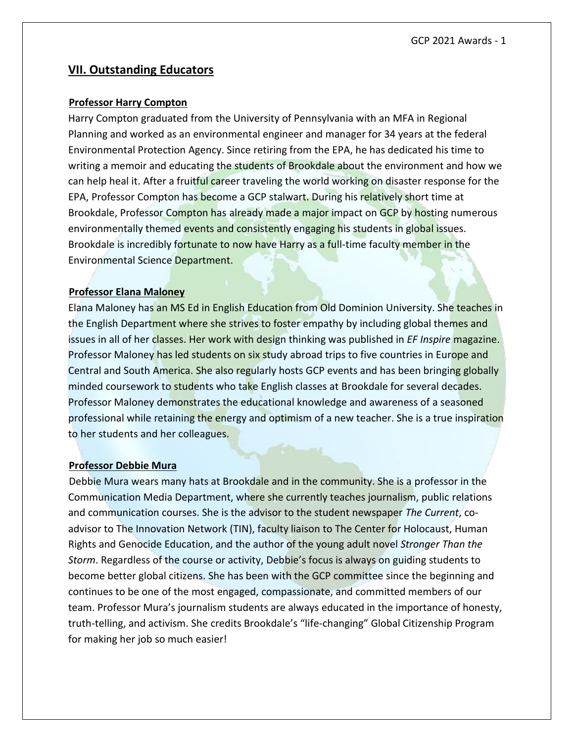# **VII. Outstanding Educators**

#### **Professor Harry Compton**

Harry Compton graduated from the University of Pennsylvania with an MFA in Regional Planning and worked as an environmental engineer and manager for 34 years at the federal Environmental Protection Agency. Since retiring from the EPA, he has dedicated his time to writing a memoir and educating the students of Brookdale about the environment and how we can help heal it. After a fruitful career traveling the world working on disaster response for the EPA, Professor Compton has become a GCP stalwart. During his relatively short time at Brookdale, Professor Compton has already made a major impact on GCP by hosting numerous environmentally themed events and consistently engaging his students in global issues. Brookdale is incredibly fortunate to now have Harry as a full-time faculty member in the Environmental Science Department.

#### **Professor Elana Maloney**

Elana Maloney has an MS Ed in English Education from Old Dominion University. She teaches in the English Department where she strives to foster empathy by including global themes and issues in all of her classes. Her work with design thinking was published in *EF Inspire* magazine. Professor Maloney has led students on six study abroad trips to five countries in Europe and Central and South America. She also regularly hosts GCP events and has been bringing globally minded coursework to students who take English classes at Brookdale for several decades. Professor Maloney demonstrates the educational knowledge and awareness of a seasoned professional while retaining the energy and optimism of a new teacher. She is a true inspiration to her students and her colleagues.

#### **Professor Debbie Mura**

Debbie Mura wears many hats at Brookdale and in the community. She is a professor in the Communication Media Department, where she currently teaches journalism, public relations and communication courses. She is the advisor to the student newspaper *The Current*, coadvisor to The Innovation Network (TIN), faculty liaison to The Center for Holocaust, Human Rights and Genocide Education, and the author of the young adult novel *Stronger Than the Storm*. Regardless of the course or activity, Debbie's focus is always on guiding students to become better global citizens. She has been with the GCP committee since the beginning and continues to be one of the most engaged, compassionate, and committed members of our team. Professor Mura's journalism students are always educated in the importance of honesty, truth-telling, and activism. She credits Brookdale's "life-changing" Global Citizenship Program for making her job so much easier!